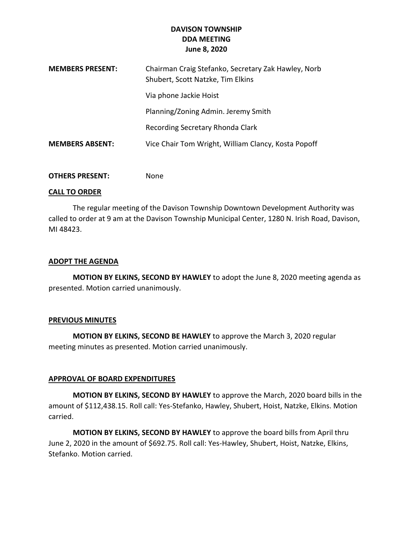## **DAVISON TOWNSHIP DDA MEETING June 8, 2020**

| <b>MEMBERS PRESENT:</b> | Chairman Craig Stefanko, Secretary Zak Hawley, Norb<br>Shubert, Scott Natzke, Tim Elkins |
|-------------------------|------------------------------------------------------------------------------------------|
|                         | Via phone Jackie Hoist                                                                   |
|                         | Planning/Zoning Admin. Jeremy Smith                                                      |
|                         | Recording Secretary Rhonda Clark                                                         |
| <b>MEMBERS ABSENT:</b>  | Vice Chair Tom Wright, William Clancy, Kosta Popoff                                      |

**OTHERS PRESENT:** None

#### **CALL TO ORDER**

The regular meeting of the Davison Township Downtown Development Authority was called to order at 9 am at the Davison Township Municipal Center, 1280 N. Irish Road, Davison, MI 48423.

### **ADOPT THE AGENDA**

**MOTION BY ELKINS, SECOND BY HAWLEY** to adopt the June 8, 2020 meeting agenda as presented. Motion carried unanimously.

#### **PREVIOUS MINUTES**

**MOTION BY ELKINS, SECOND BE HAWLEY** to approve the March 3, 2020 regular meeting minutes as presented. Motion carried unanimously.

### **APPROVAL OF BOARD EXPENDITURES**

**MOTION BY ELKINS, SECOND BY HAWLEY** to approve the March, 2020 board bills in the amount of \$112,438.15. Roll call: Yes-Stefanko, Hawley, Shubert, Hoist, Natzke, Elkins. Motion carried.

**MOTION BY ELKINS, SECOND BY HAWLEY** to approve the board bills from April thru June 2, 2020 in the amount of \$692.75. Roll call: Yes-Hawley, Shubert, Hoist, Natzke, Elkins, Stefanko. Motion carried.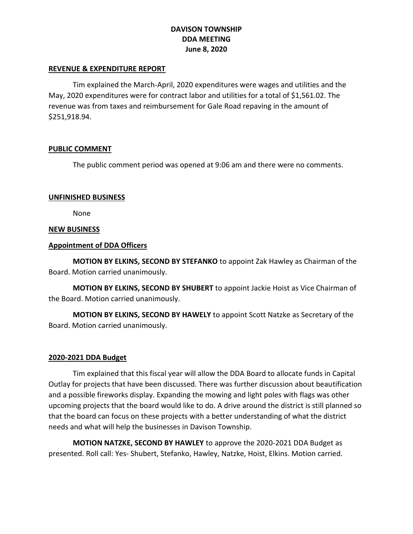## **DAVISON TOWNSHIP DDA MEETING June 8, 2020**

#### **REVENUE & EXPENDITURE REPORT**

Tim explained the March-April, 2020 expenditures were wages and utilities and the May, 2020 expenditures were for contract labor and utilities for a total of \$1,561.02. The revenue was from taxes and reimbursement for Gale Road repaving in the amount of \$251,918.94.

#### **PUBLIC COMMENT**

The public comment period was opened at 9:06 am and there were no comments.

#### **UNFINISHED BUSINESS**

None

#### **NEW BUSINESS**

#### **Appointment of DDA Officers**

**MOTION BY ELKINS, SECOND BY STEFANKO** to appoint Zak Hawley as Chairman of the Board. Motion carried unanimously.

**MOTION BY ELKINS, SECOND BY SHUBERT** to appoint Jackie Hoist as Vice Chairman of the Board. Motion carried unanimously.

**MOTION BY ELKINS, SECOND BY HAWELY** to appoint Scott Natzke as Secretary of the Board. Motion carried unanimously.

### **2020-2021 DDA Budget**

Tim explained that this fiscal year will allow the DDA Board to allocate funds in Capital Outlay for projects that have been discussed. There was further discussion about beautification and a possible fireworks display. Expanding the mowing and light poles with flags was other upcoming projects that the board would like to do. A drive around the district is still planned so that the board can focus on these projects with a better understanding of what the district needs and what will help the businesses in Davison Township.

**MOTION NATZKE, SECOND BY HAWLEY** to approve the 2020-2021 DDA Budget as presented. Roll call: Yes- Shubert, Stefanko, Hawley, Natzke, Hoist, Elkins. Motion carried.